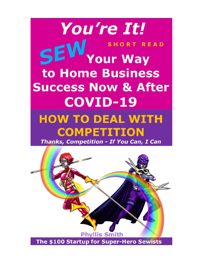

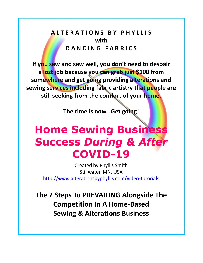# **ALTERATIONS BY PHYLLIS** with DANCING FABRICS

If you sew and sew well, you don't need to despair a lost job because you can grab just \$100 from somewhere and get going providing alterations and sewing services including fabric artistry that people are still seeking from the comfort of your home.

The time is now. Get going!

# **Home Sewing Business Success During & After COVID-19**

**Created by Phyllis Smith** Stillwater, MN, USA http://www.alterationsbyphyllis.com/video-tutorials

The 7 Steps To PREVAILING Alongside The **Competition In A Home-Based Sewing & Alterations Business**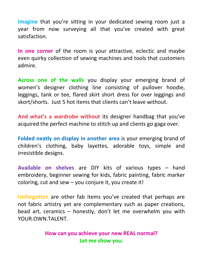**Imagine** that you're sitting in your dedicated sewing room just a year from now surveying all that you've created with great satisfaction.

**In one corner** of the room is your attractive, eclectic and maybe even quirky collection of sewing machines and tools that customers admire.

**Across one of the walls** you display your emerging brand of women's designer clothing line consisting of pullover hoodie, leggings, tank or tee, flared skirt short dress for over leggings and skort/shorts. Just 5 hot items that clients can't leave without.

**And what's a wardrobe without** its designer handbag that you've acquired the perfect machine to stitch up and clients go gaga over.

**Folded neatly on display in another area** is your emerging brand of children's clothing, baby layettes, adorable toys, simple and irresistible designs.

**Available on shelves** are DIY kits of various types – hand embroidery, beginner sewing for kids, fabric painting, fabric marker coloring, cut and sew  $-$  you conjure it, you create it!

**Unforgotten** are other fab items you've created that perhaps are not fabric artistry yet are complementary such as paper creations, bead art, ceramics – honestly, don't let me overwhelm you with YOUR.OWN.TALENT.

> **How can you achieve your new REAL normal? Let me show you.**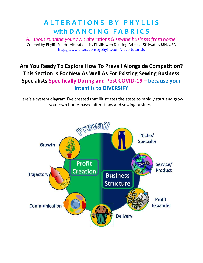# **A L T E R A T I O N S B Y P H Y L L I S with D A N C I N G F A B R I C S**

*All about running your own alterations & sewing business from home!* Created by Phyllis Smith - Alterations by Phyllis with Dancing Fabrics - Stillwater, MN, USA <http://www.alterationsbyphyllis.com/>video-tutorials

## **Are You Ready To Explore How To Prevail Alongside Competition? This Section Is For New As Well As For Existing Sewing Business Specialists Specifically During and Post COVID-19 – because your intent is to DIVERSIFY**

Here's a system diagram I've created that illustrates the steps to rapidly start and grow your own home-based alterations and sewing business.

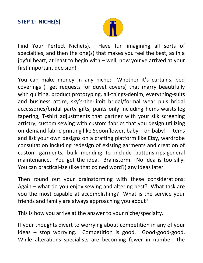

Find Your Perfect Niche(s). Have fun imagining all sorts of specialties, and then the one(s) that makes you feel the best, as in a joyful heart, at least to begin with – well, now you've arrived at your first important decision!

You can make money in any niche: Whether it's curtains, bed coverings (I get requests for duvet covers) that marry beautifully with quilting, product prototyping, all-things-denim, everything-suits and business attire, sky's-the-limit bridal/formal wear plus bridal accessories/bridal party gifts, pants only including hems-waists-leg tapering, T-shirt adjustments that partner with your silk screening artistry, custom sewing with custom fabrics that you design utilizing on-demand fabric printing like Spoonflower, baby – oh baby! – items and list your own designs on a crafting platform like Etsy, wardrobe consultation including redesign of existing garments and creation of custom garments, bulk mending to include buttons-rips-general maintenance. You get the idea. Brainstorm. No idea is too silly. You can practical-ize (like that coined word?) any ideas later.

Then round out your brainstorming with these considerations: Again – what do you enjoy sewing and altering best? What task are you the most capable at accomplishing? What is the service your friends and family are always approaching you about?

This is how you arrive at the answer to your niche/specialty.

If your thoughts divert to worrying about competition in any of your ideas – stop worrying. Competition is good. Good-good-good. While alterations specialists are becoming fewer in number, the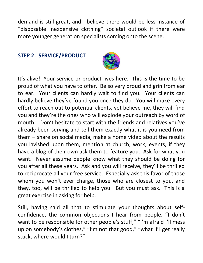demand is still great, and I believe there would be less instance of "disposable inexpensive clothing" societal outlook if there were more younger generation specialists coming onto the scene.

#### **STEP 2: SERVICE/PRODUCT**



It's alive! Your service or product lives here. This is the time to be proud of what you have to offer. Be so very proud and grin from ear to ear. Your clients can hardly wait to find you. Your clients can hardly believe they've found you once they do. You will make every effort to reach out to potential clients, yet believe me, they will find you and they're the ones who will explode your outreach by word of mouth. Don't hesitate to start with the friends and relatives you've already been serving and tell them exactly what it is you need from them – share on social media, make a home video about the results you lavished upon them, mention at church, work, events, if they have a blog of their own ask them to feature you. Ask for what you want. Never assume people know what they should be doing for you after all these years. Ask and you will receive, they'll be thrilled to reciprocate all your free service. Especially ask this favor of those whom you won't ever charge, those who are closest to you, and they, too, will be thrilled to help you. But you must ask. This is a great exercise in asking for help.

Still, having said all that to stimulate your thoughts about selfconfidence, the common objections I hear from people, "I don't want to be responsible for other people's stuff," "I'm afraid I'll mess up on somebody's clothes," "I'm not that good," "what if I get really stuck, where would I turn?"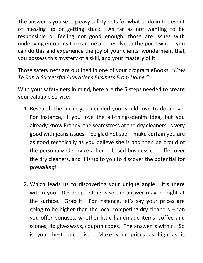The answer is you set up easy safety nets for what to do in the event of messing up or getting stuck. As far as not wanting to be responsible or feeling not good enough, those are issues with underlying emotions to examine and resolve to the point where you can do this and experience the joy of your clients' wonderment that you possess this mystery of a skill, and your mastery of it.

Those safety nets are outlined in one of your program eBooks, *"How To Run A Successful Alterations Business From Home."*

With your safety nets in mind, here are the 5 steps needed to create your valuable service:

- 1. Research the niche you decided you would love to do above. For instance, if you love the all-things-denim idea, but you already know Franny, the seamstress at the dry cleaners, is very good with jeans issues – be glad not sad – make certain you are as good technically as you believe she is and then be proud of the personalized service a home-based business can offer over the dry cleaners, and it is up to you to discover the potential for *prevailing*!
- 2. Which leads us to discovering your unique angle. It's there within you. Dig deep. Otherwise the answer may be right at the surface. Grab it. For instance, let's say your prices are going to be higher than the local competing dry cleaners – can you offer bonuses, whether little handmade items, coffee and scones, do giveaways, coupon codes. The answer is within! So is your best price list. Make your prices as high as is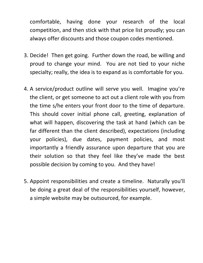comfortable, having done your research of the local competition, and then stick with that price list proudly; you can always offer discounts and those coupon codes mentioned.

- 3. Decide! Then get going. Further down the road, be willing and proud to change your mind. You are not tied to your niche specialty; really, the idea is to expand as is comfortable for you.
- 4. A service/product outline will serve you well. Imagine you're the client, or get someone to act out a client role with you from the time s/he enters your front door to the time of departure. This should cover initial phone call, greeting, explanation of what will happen, discovering the task at hand (which can be far different than the client described), expectations (including your policies), due dates, payment policies, and most importantly a friendly assurance upon departure that you are their solution so that they feel like they've made the best possible decision by coming to you. And they have!
- 5. Appoint responsibilities and create a timeline. Naturally you'll be doing a great deal of the responsibilities yourself, however, a simple website may be outsourced, for example.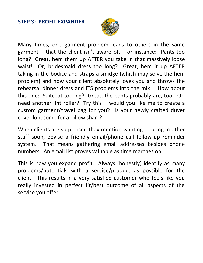#### **STEP 3: PROFIT EXPANDER**



Many times, one garment problem leads to others in the same garment – that the client isn't aware of. For instance: Pants too long? Great, hem them up AFTER you take in that massively loose waist! Or, bridesmaid dress too long? Great, hem it up AFTER taking in the bodice and straps a smidge (which may solve the hem problem) and now your client absolutely loves you and throws the rehearsal dinner dress and ITS problems into the mix! How about this one: Suitcoat too big? Great, the pants probably are, too. Or, need another lint roller? Try this – would you like me to create a custom garment/travel bag for you? Is your newly crafted duvet cover lonesome for a pillow sham?

When clients are so pleased they mention wanting to bring in other stuff soon, devise a friendly email/phone call follow-up reminder system. That means gathering email addresses besides phone numbers. An email list proves valuable as time marches on.

This is how you expand profit. Always (honestly) identify as many problems/potentials with a service/product as possible for the client. This results in a very satisfied customer who feels like you really invested in perfect fit/best outcome of all aspects of the service you offer.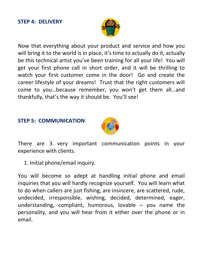#### **STEP 4: DELIVERY**



Now that everything about your product and service and how you will bring it to the world is in place, it's time to actually do it, actually be this technical artist you've been training for all your life! You will get your first phone call in short order, and it will be thrilling to watch your first customer come in the door! Go and create the career lifestyle of your dreams! Trust that the right customers will come to you…because remember, you won't get them all…and thankfully, that's the way it should be. You'll see!

#### **STEP 5: COMMUNICATION**



There are 3 very important communication points in your experience with clients.

1. Initial phone/email inquiry.

You will become so adept at handling initial phone and email inquiries that you will hardly recognize yourself. You will learn what to do when callers are just fishing, are insincere, are scattered, rude, undecided, irresponsible, wishing, decided, determined, eager, understanding, compliant, humorous, lovable  $-$  you name the personality, and you will hear from it either over the phone or in email.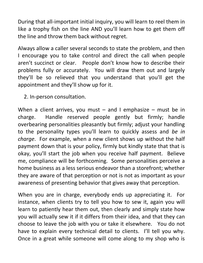During that all-important initial inquiry, you will learn to reel them in like a trophy fish on the line AND you'll learn how to get them off the line and throw them back without regret.

Always allow a caller several seconds to state the problem, and then I encourage you to take control and direct the call when people aren't succinct or clear. People don't know how to describe their problems fully or accurately. You will draw them out and largely they'll be so relieved that you understand that you'll get the appointment and they'll show up for it.

2. In-person consultation.

When a client arrives, you must  $-$  and I emphasize  $-$  must be in charge. Handle reserved people gently but firmly; handle overbearing personalities pleasantly but firmly; adjust your handling to the personality types you'll learn to quickly assess and *be in charge*. For example, when a new client shows up without the half payment down that is your policy, firmly but kindly state that that is okay, you'll start the job when you receive half payment. Believe me, compliance will be forthcoming. Some personalities perceive a home business as a less serious endeavor than a storefront; whether they are aware of that perception or not is not as important as your awareness of presenting behavior that gives away that perception.

When you are in charge, everybody ends up appreciating it. For instance, when clients try to tell you how to sew it, again you will learn to patiently hear them out, then clearly and simply state how you will actually sew it if it differs from their idea, and that they can choose to leave the job with you or take it elsewhere. You do not have to explain every technical detail to clients. I'll tell you why. Once in a great while someone will come along to my shop who is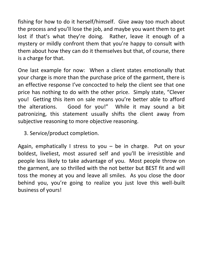fishing for how to do it herself/himself. Give away too much about the process and you'll lose the job, and maybe you want them to get lost if that's what they're doing. Rather, leave it enough of a mystery or mildly confront them that you're happy to consult with them about how they can do it themselves but that, of course, there is a charge for that.

One last example for now: When a client states emotionally that your charge is more than the purchase price of the garment, there is an effective response I've concocted to help the client see that one price has nothing to do with the other price. Simply state, "Clever you! Getting this item on sale means you're better able to afford the alterations. Good for you!" While it may sound a bit patronizing, this statement usually shifts the client away from subjective reasoning to more objective reasoning.

3. Service/product completion.

Again, emphatically I stress to you  $-$  be in charge. Put on your boldest, liveliest, most assured self and you'll be irresistible and people less likely to take advantage of you. Most people throw on the garment, are so thrilled with the not better but BEST fit and will toss the money at you and leave all smiles. As you close the door behind you, you're going to realize you just love this well-built business of yours!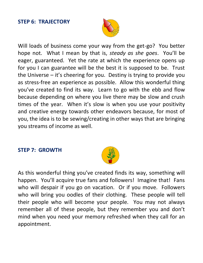#### **STEP 6: TRAJECTORY**



Will loads of business come your way from the get-go? You better hope not. What I mean by that is, *steady as she goes*. You'll be eager, guaranteed. Yet the rate at which the experience opens up for you I can guarantee will be the best it is supposed to be. Trust the Universe – it's cheering for you. Destiny is trying to provide you as stress-free an experience as possible. Allow this wonderful thing you've created to find its way. Learn to go with the ebb and flow because depending on where you live there may be slow and crush times of the year. When it's slow is when you use your positivity and creative energy towards other endeavors because, for most of you, the idea is to be sewing/creating in other ways that are bringing you streams of income as well.

#### **STEP 7: GROWTH**



As this wonderful thing you've created finds its way, something will happen. You'll acquire true fans and followers! Imagine that! Fans who will despair if you go on vacation. Or if you move. Followers who will bring you oodles of their clothing. These people will tell their people who will become your people. You may not always remember all of these people, but they remember you and don't mind when you need your memory refreshed when they call for an appointment.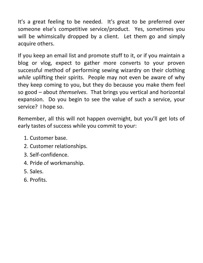It's a great feeling to be needed. It's great to be preferred over someone else's competitive service/product. Yes, sometimes you will be whimsically dropped by a client. Let them go and simply acquire others.

If you keep an email list and promote stuff to it, or if you maintain a blog or vlog, expect to gather more converts to your proven successful method of performing sewing wizardry on their clothing *while* uplifting their spirits. People may not even be aware of why they keep coming to you, but they do because you make them feel so good – about *themselves*. That brings you vertical and horizontal expansion. Do you begin to see the value of such a service, your service? I hope so.

Remember, all this will not happen overnight, but you'll get lots of early tastes of success while you commit to your:

- 1. Customer base.
- 2. Customer relationships.
- 3. Self-confidence.
- 4. Pride of workmanship.
- 5. Sales.
- 6. Profits.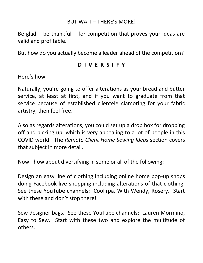#### BUT WAIT – THERE'S MORE!

Be glad  $-$  be thankful  $-$  for competition that proves your ideas are valid and profitable.

But how do you actually become a leader ahead of the competition?

#### **D I V E R S I F Y**

Here's how.

Naturally, you're going to offer alterations as your bread and butter service, at least at first, and if you want to graduate from that service because of established clientele clamoring for your fabric artistry, then feel free.

Also as regards alterations, you could set up a drop box for dropping off and picking up, which is very appealing to a lot of people in this COVID world. The *Remote Client Home Sewing Ideas* section covers that subject in more detail.

Now - how about diversifying in some or all of the following:

Design an easy line of clothing including online home pop-up shops doing Facebook live shopping including alterations of that clothing. See these YouTube channels: Coolirpa, With Wendy, Rosery. Start with these and don't stop there!

Sew designer bags. See these YouTube channels: Lauren Mormino, Easy to Sew. Start with these two and explore the multitude of others.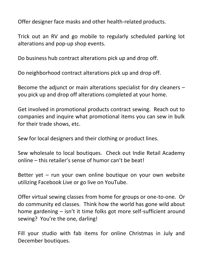Offer designer face masks and other health-related products.

Trick out an RV and go mobile to regularly scheduled parking lot alterations and pop-up shop events.

Do business hub contract alterations pick up and drop off.

Do neighborhood contract alterations pick up and drop off.

Become the adjunct or main alterations specialist for dry cleaners – you pick up and drop off alterations completed at your home.

Get involved in promotional products contract sewing. Reach out to companies and inquire what promotional items you can sew in bulk for their trade shows, etc.

Sew for local designers and their clothing or product lines.

Sew wholesale to local boutiques. Check out Indie Retail Academy online – this retailer's sense of humor can't be beat!

Better yet – run your own online boutique on your own website utilizing Facebook Live or go live on YouTube.

Offer virtual sewing classes from home for groups or one-to-one. Or do community ed classes. Think how the world has gone wild about home gardening – isn't it time folks got more self-sufficient around sewing? You're the one, darling!

Fill your studio with fab items for online Christmas in July and December boutiques.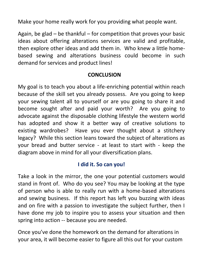Make your home really work for you providing what people want.

Again, be glad  $-$  be thankful  $-$  for competition that proves your basic ideas about offering alterations services are valid and profitable, then explore other ideas and add them in. Who knew a little homebased sewing and alterations business could become in such demand for services and product lines!

#### **CONCLUSION**

My goal is to teach you about a life-enriching potential within reach because of the skill set you already possess. Are you going to keep your sewing talent all to yourself or are you going to share it and become sought after and paid your worth? Are you going to advocate against the disposable clothing lifestyle the western world has adopted and show it a better way of creative solutions to existing wardrobes? Have you ever thought about a stitchery legacy? While this section leans toward the subject of alterations as your bread and butter service - at least to start with - keep the diagram above in mind for all your diversification plans.

### **I did it. So can you!**

Take a look in the mirror, the one your potential customers would stand in front of. Who do you see? You may be looking at the type of person who is able to really run with a home-based alterations and sewing business. If this report has left you buzzing with ideas and on fire with a passion to investigate the subject further, then I have done my job to inspire you to assess your situation and then spring into action -- because you are needed.

Once you've done the homework on the demand for alterations in your area, it will become easier to figure all this out for your custom